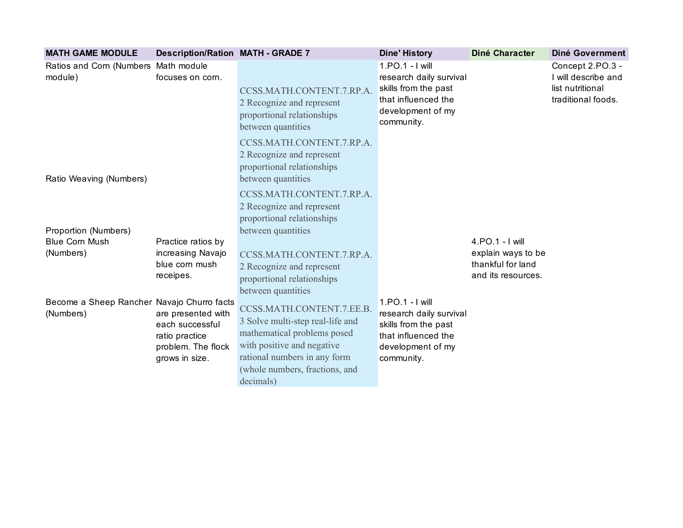| <b>MATH GAME MODULE</b>                                 | <b>Description/Ration MATH - GRADE 7</b>                                                        |                                                                                                                                                                                                           | <b>Dine' History</b>                                                                                                         | Diné Character                                                                   | <b>Diné Government</b>                                                            |
|---------------------------------------------------------|-------------------------------------------------------------------------------------------------|-----------------------------------------------------------------------------------------------------------------------------------------------------------------------------------------------------------|------------------------------------------------------------------------------------------------------------------------------|----------------------------------------------------------------------------------|-----------------------------------------------------------------------------------|
| Ratios and Corn (Numbers Math module<br>module)         | focuses on corn.                                                                                | CCSS.MATH.CONTENT.7.RP.A.<br>2 Recognize and represent<br>proportional relationships<br>between quantities                                                                                                | 1.PO.1 - I will<br>research daily survival<br>skills from the past<br>that influenced the<br>development of my<br>community. |                                                                                  | Concept 2.PO.3 -<br>I will describe and<br>list nutritional<br>traditional foods. |
| Ratio Weaving (Numbers)                                 |                                                                                                 | CCSS.MATH.CONTENT.7.RP.A.<br>2 Recognize and represent<br>proportional relationships<br>between quantities                                                                                                |                                                                                                                              |                                                                                  |                                                                                   |
|                                                         |                                                                                                 | CCSS.MATH.CONTENT.7.RP.A.<br>2 Recognize and represent<br>proportional relationships                                                                                                                      |                                                                                                                              |                                                                                  |                                                                                   |
| Proportion (Numbers)                                    |                                                                                                 | between quantities                                                                                                                                                                                        |                                                                                                                              |                                                                                  |                                                                                   |
| <b>Blue Corn Mush</b><br>(Numbers)                      | Practice ratios by<br>increasing Navajo<br>blue corn mush<br>receipes.                          | CCSS.MATH.CONTENT.7.RP.A.<br>2 Recognize and represent<br>proportional relationships<br>between quantities                                                                                                |                                                                                                                              | 4.PO.1 - I will<br>explain ways to be<br>thankful for land<br>and its resources. |                                                                                   |
| Become a Sheep Rancher Navajo Churro facts<br>(Numbers) | are presented with<br>each successful<br>ratio practice<br>problem. The flock<br>grows in size. | CCSS.MATH.CONTENT.7.EE.B.<br>3 Solve multi-step real-life and<br>mathematical problems posed<br>with positive and negative<br>rational numbers in any form<br>(whole numbers, fractions, and<br>decimals) | 1.PO.1 - I will<br>research daily survival<br>skills from the past<br>that influenced the<br>development of my<br>community. |                                                                                  |                                                                                   |